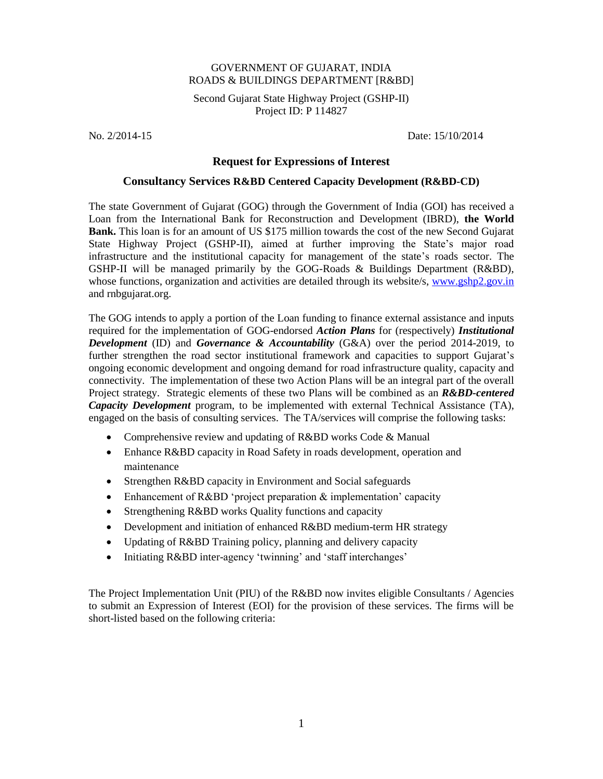## GOVERNMENT OF GUJARAT, INDIA ROADS & BUILDINGS DEPARTMENT [R&BD]

Second Gujarat State Highway Project (GSHP-II) Project ID: P 114827

No. 2/2014-15 Date: 15/10/2014

## **Request for Expressions of Interest**

## **Consultancy Services R&BD Centered Capacity Development (R&BD-CD)**

The state Government of Gujarat (GOG) through the Government of India (GOI) has received a Loan from the International Bank for Reconstruction and Development (IBRD), **the World Bank.** This loan is for an amount of US \$175 million towards the cost of the new Second Gujarat State Highway Project (GSHP-II), aimed at further improving the State's major road infrastructure and the institutional capacity for management of the state's roads sector. The GSHP-II will be managed primarily by the GOG-Roads & Buildings Department (R&BD), whose functions, organization and activities are detailed through its website/s, [www.gshp2.gov.in](http://www.gshp2.gov.in/) and rnbgujarat.org.

The GOG intends to apply a portion of the Loan funding to finance external assistance and inputs required for the implementation of GOG-endorsed *Action Plans* for (respectively) *Institutional Development* (ID) and *Governance & Accountability* (G&A) over the period 2014-2019, to further strengthen the road sector institutional framework and capacities to support Gujarat's ongoing economic development and ongoing demand for road infrastructure quality, capacity and connectivity. The implementation of these two Action Plans will be an integral part of the overall Project strategy. Strategic elements of these two Plans will be combined as an *R&BD-centered Capacity Development* program, to be implemented with external Technical Assistance (TA), engaged on the basis of consulting services. The TA/services will comprise the following tasks:

- Comprehensive review and updating of R&BD works Code & Manual
- Enhance R&BD capacity in Road Safety in roads development, operation and maintenance
- Strengthen R&BD capacity in Environment and Social safeguards
- Enhancement of R&BD 'project preparation & implementation' capacity
- Strengthening R&BD works Quality functions and capacity
- Development and initiation of enhanced R&BD medium-term HR strategy
- Updating of R&BD Training policy, planning and delivery capacity
- Initiating R&BD inter-agency 'twinning' and 'staff interchanges'

The Project Implementation Unit (PIU) of the R&BD now invites eligible Consultants / Agencies to submit an Expression of Interest (EOI) for the provision of these services. The firms will be short-listed based on the following criteria: